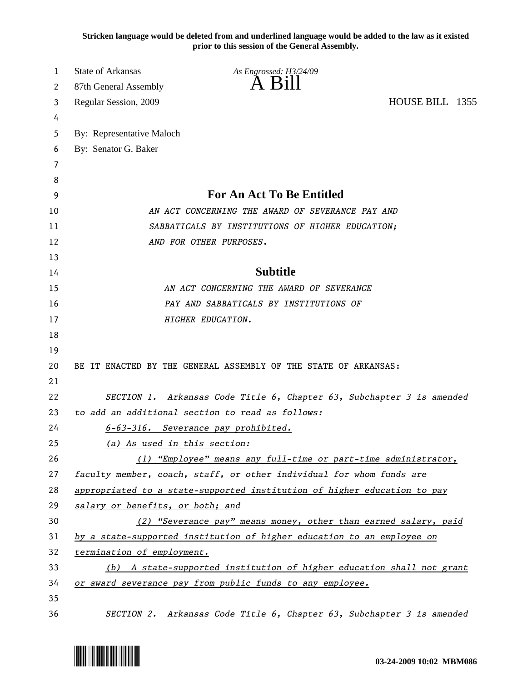**Stricken language would be deleted from and underlined language would be added to the law as it existed prior to this session of the General Assembly.**

| <b>State of Arkansas</b>                                                 | As Engrossed: H3/24/09                                                |  |
|--------------------------------------------------------------------------|-----------------------------------------------------------------------|--|
| 87th General Assembly                                                    | $A$ $B111$                                                            |  |
| Regular Session, 2009                                                    | HOUSE BILL 1355                                                       |  |
|                                                                          |                                                                       |  |
| By: Representative Maloch                                                |                                                                       |  |
| By: Senator G. Baker                                                     |                                                                       |  |
|                                                                          |                                                                       |  |
|                                                                          |                                                                       |  |
|                                                                          | <b>For An Act To Be Entitled</b>                                      |  |
|                                                                          | AN ACT CONCERNING THE AWARD OF SEVERANCE PAY AND                      |  |
|                                                                          | SABBATICALS BY INSTITUTIONS OF HIGHER EDUCATION;                      |  |
|                                                                          | AND FOR OTHER PURPOSES.                                               |  |
|                                                                          |                                                                       |  |
|                                                                          | <b>Subtitle</b>                                                       |  |
|                                                                          | AN ACT CONCERNING THE AWARD OF SEVERANCE                              |  |
|                                                                          | PAY AND SABBATICALS BY INSTITUTIONS OF                                |  |
|                                                                          | HIGHER EDUCATION.                                                     |  |
|                                                                          |                                                                       |  |
|                                                                          |                                                                       |  |
|                                                                          | BE IT ENACTED BY THE GENERAL ASSEMBLY OF THE STATE OF ARKANSAS:       |  |
|                                                                          |                                                                       |  |
|                                                                          | SECTION 1. Arkansas Code Title 6, Chapter 63, Subchapter 3 is amended |  |
|                                                                          | to add an additional section to read as follows:                      |  |
|                                                                          | 6-63-316. Severance pay prohibited.                                   |  |
| (a) As used in this section:                                             |                                                                       |  |
|                                                                          | (1) "Employee" means any full-time or part-time administrator,        |  |
|                                                                          | faculty member, coach, staff, or other individual for whom funds are  |  |
| appropriated to a state-supported institution of higher education to pay |                                                                       |  |
| salary or benefits, or both; and                                         |                                                                       |  |
| (2) "Severance pay" means money, other than earned salary, paid          |                                                                       |  |
| by a state-supported institution of higher education to an employee on   |                                                                       |  |
| termination of employment.                                               |                                                                       |  |
| (b) A state-supported institution of higher education shall not grant    |                                                                       |  |
|                                                                          | or award severance pay from public funds to any employee.             |  |